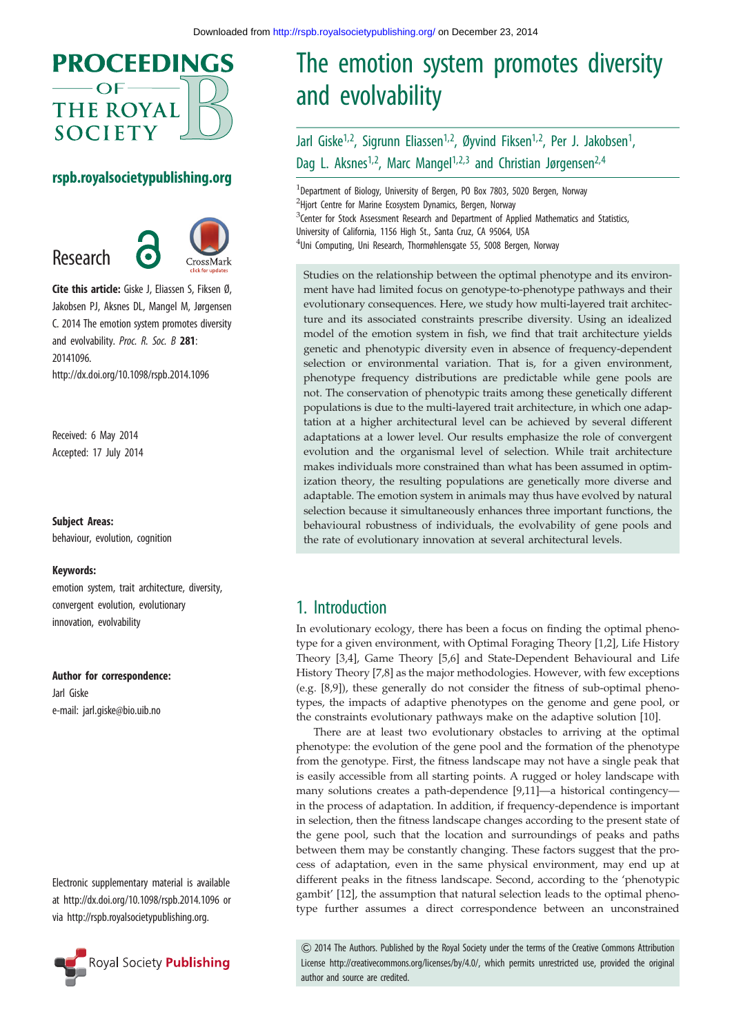

## rspb.royalsocietypublishing.org





Cite this article: Giske J, Eliassen S, Fiksen Ø, Jakobsen PJ, Aksnes DL, Mangel M, Jørgensen C. 2014 The emotion system promotes diversity and evolvability. Proc. R. Soc. B 281: 20141096. http://dx.doi.org/10.1098/rspb.2014.1096

Received: 6 May 2014 Accepted: 17 July 2014

Subject Areas:

behaviour, evolution, cognition

#### Keywords:

emotion system, trait architecture, diversity, convergent evolution, evolutionary innovation, evolvability

#### Author for correspondence:

Jarl Giske e-mail: [jarl.giske@bio.uib.no](mailto:jarl.giske@bio.uib.no)

Electronic supplementary material is available at<http://dx.doi.org/10.1098/rspb.2014.1096> or via<http://rspb.royalsocietypublishing.org>.



# The emotion system promotes diversity and evolvability

Jarl Giske<sup>1,2</sup>, Sigrunn Eliassen<sup>1,2</sup>, Øyvind Fiksen<sup>1,2</sup>, Per J. Jakobsen<sup>1</sup>, , Dag L. Aksnes<sup>1,2</sup>, Marc Mangel<sup>1,2,3</sup> and Christian Jørgensen<sup>2,4</sup>

<sup>1</sup>Department of Biology, University of Bergen, PO Box 7803, 5020 Bergen, Norway <sup>2</sup>Hjort Centre for Marine Ecosystem Dynamics, Bergen, Norway <sup>3</sup> Center for Stock Assessment Research and Department of Applied Mathematics and Statistics, University of California, 1156 High St., Santa Cruz, CA 95064, USA 4 Uni Computing, Uni Research, Thormøhlensgate 55, 5008 Bergen, Norway

Studies on the relationship between the optimal phenotype and its environment have had limited focus on genotype-to-phenotype pathways and their evolutionary consequences. Here, we study how multi-layered trait architecture and its associated constraints prescribe diversity. Using an idealized model of the emotion system in fish, we find that trait architecture yields genetic and phenotypic diversity even in absence of frequency-dependent selection or environmental variation. That is, for a given environment, phenotype frequency distributions are predictable while gene pools are not. The conservation of phenotypic traits among these genetically different populations is due to the multi-layered trait architecture, in which one adaptation at a higher architectural level can be achieved by several different adaptations at a lower level. Our results emphasize the role of convergent evolution and the organismal level of selection. While trait architecture makes individuals more constrained than what has been assumed in optimization theory, the resulting populations are genetically more diverse and adaptable. The emotion system in animals may thus have evolved by natural selection because it simultaneously enhances three important functions, the behavioural robustness of individuals, the evolvability of gene pools and the rate of evolutionary innovation at several architectural levels.

## 1. Introduction

In evolutionary ecology, there has been a focus on finding the optimal phenotype for a given environment, with Optimal Foraging Theory [[1](#page-7-0),[2](#page-7-0)], Life History Theory [\[3,4](#page-7-0)], Game Theory [[5,6\]](#page-7-0) and State-Dependent Behavioural and Life History Theory [[7](#page-7-0),[8](#page-7-0)] as the major methodologies. However, with few exceptions (e.g. [\[8](#page-7-0),[9](#page-7-0)]), these generally do not consider the fitness of sub-optimal phenotypes, the impacts of adaptive phenotypes on the genome and gene pool, or the constraints evolutionary pathways make on the adaptive solution [[10\]](#page-7-0).

There are at least two evolutionary obstacles to arriving at the optimal phenotype: the evolution of the gene pool and the formation of the phenotype from the genotype. First, the fitness landscape may not have a single peak that is easily accessible from all starting points. A rugged or holey landscape with many solutions creates a path-dependence [\[9,11\]](#page-7-0)—a historical contingency in the process of adaptation. In addition, if frequency-dependence is important in selection, then the fitness landscape changes according to the present state of the gene pool, such that the location and surroundings of peaks and paths between them may be constantly changing. These factors suggest that the process of adaptation, even in the same physical environment, may end up at different peaks in the fitness landscape. Second, according to the 'phenotypic gambit' [[12\]](#page-7-0), the assumption that natural selection leads to the optimal phenotype further assumes a direct correspondence between an unconstrained

& 2014 The Authors. Published by the Royal Society under the terms of the Creative Commons Attribution License http://creativecommons.org/licenses/by/4.0/, which permits unrestricted use, provided the original author and source are credited.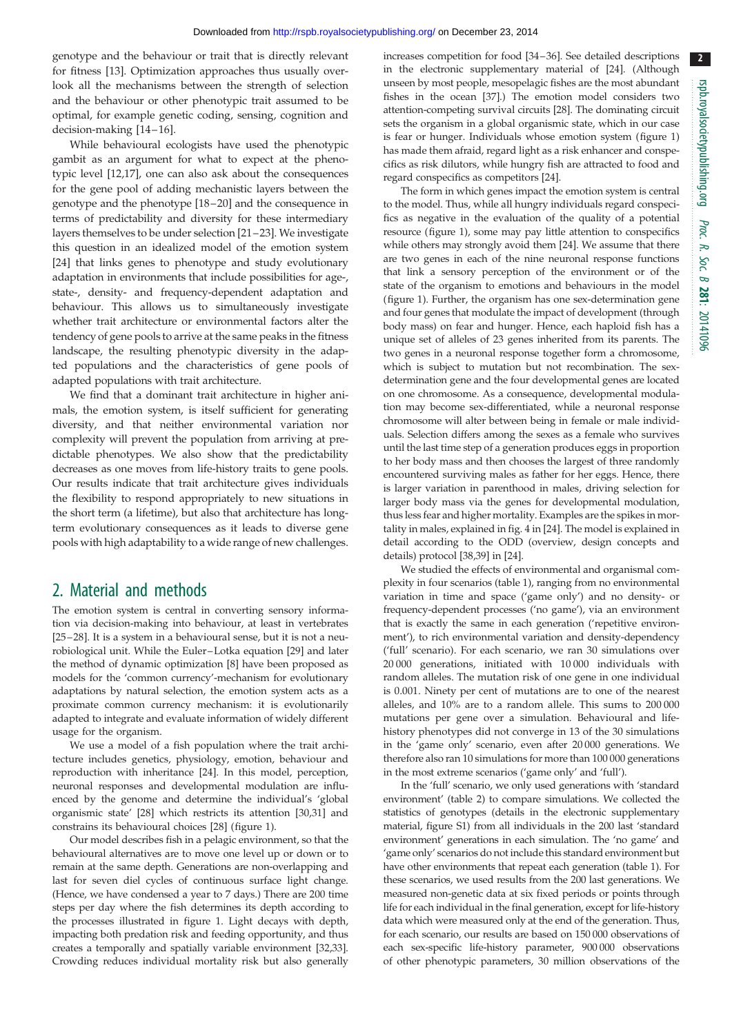2

genotype and the behaviour or trait that is directly relevant for fitness [[13\]](#page-7-0). Optimization approaches thus usually overlook all the mechanisms between the strength of selection and the behaviour or other phenotypic trait assumed to be optimal, for example genetic coding, sensing, cognition and decision-making [[14](#page-7-0)–[16\]](#page-7-0).

While behavioural ecologists have used the phenotypic gambit as an argument for what to expect at the phenotypic level [\[12,17](#page-7-0)], one can also ask about the consequences for the gene pool of adding mechanistic layers between the genotype and the phenotype [[18](#page-7-0)–[20\]](#page-7-0) and the consequence in terms of predictability and diversity for these intermediary layers themselves to be under selection [\[21](#page-7-0)–[23](#page-7-0)]. We investigate this question in an idealized model of the emotion system [\[24](#page-7-0)] that links genes to phenotype and study evolutionary adaptation in environments that include possibilities for age-, state-, density- and frequency-dependent adaptation and behaviour. This allows us to simultaneously investigate whether trait architecture or environmental factors alter the tendency of gene pools to arrive at the same peaks in the fitness landscape, the resulting phenotypic diversity in the adapted populations and the characteristics of gene pools of adapted populations with trait architecture.

We find that a dominant trait architecture in higher animals, the emotion system, is itself sufficient for generating diversity, and that neither environmental variation nor complexity will prevent the population from arriving at predictable phenotypes. We also show that the predictability decreases as one moves from life-history traits to gene pools. Our results indicate that trait architecture gives individuals the flexibility to respond appropriately to new situations in the short term (a lifetime), but also that architecture has longterm evolutionary consequences as it leads to diverse gene pools with high adaptability to a wide range of new challenges.

# 2. Material and methods

The emotion system is central in converting sensory information via decision-making into behaviour, at least in vertebrates [\[25](#page-7-0) – [28](#page-7-0)]. It is a system in a behavioural sense, but it is not a neurobiological unit. While the Euler –Lotka equation [\[29\]](#page-7-0) and later the method of dynamic optimization [\[8](#page-7-0)] have been proposed as models for the 'common currency'-mechanism for evolutionary adaptations by natural selection, the emotion system acts as a proximate common currency mechanism: it is evolutionarily adapted to integrate and evaluate information of widely different usage for the organism.

We use a model of a fish population where the trait architecture includes genetics, physiology, emotion, behaviour and reproduction with inheritance [[24](#page-7-0)]. In this model, perception, neuronal responses and developmental modulation are influenced by the genome and determine the individual's 'global organismic state' [\[28\]](#page-7-0) which restricts its attention [\[30,31](#page-7-0)] and constrains its behavioural choices [[28](#page-7-0)] [\(figure 1](#page-2-0)).

Our model describes fish in a pelagic environment, so that the behavioural alternatives are to move one level up or down or to remain at the same depth. Generations are non-overlapping and last for seven diel cycles of continuous surface light change. (Hence, we have condensed a year to 7 days.) There are 200 time steps per day where the fish determines its depth according to the processes illustrated in [figure 1.](#page-2-0) Light decays with depth, impacting both predation risk and feeding opportunity, and thus creates a temporally and spatially variable environment [[32,33\]](#page-7-0). Crowding reduces individual mortality risk but also generally increases competition for food [\[34](#page-7-0)–[36\]](#page-7-0). See detailed descriptions in the electronic supplementary material of [[24](#page-7-0)]. (Although unseen by most people, mesopelagic fishes are the most abundant fishes in the ocean [\[37\]](#page-7-0).) The emotion model considers two attention-competing survival circuits [[28](#page-7-0)]. The dominating circuit sets the organism in a global organismic state, which in our case is fear or hunger. Individuals whose emotion system [\(figure 1](#page-2-0)) has made them afraid, regard light as a risk enhancer and conspecifics as risk dilutors, while hungry fish are attracted to food and regard conspecifics as competitors [\[24\]](#page-7-0).

The form in which genes impact the emotion system is central to the model. Thus, while all hungry individuals regard conspecifics as negative in the evaluation of the quality of a potential resource [\(figure 1\)](#page-2-0), some may pay little attention to conspecifics while others may strongly avoid them [[24](#page-7-0)]. We assume that there are two genes in each of the nine neuronal response functions that link a sensory perception of the environment or of the state of the organism to emotions and behaviours in the model ([figure 1\)](#page-2-0). Further, the organism has one sex-determination gene and four genes that modulate the impact of development (through body mass) on fear and hunger. Hence, each haploid fish has a unique set of alleles of 23 genes inherited from its parents. The two genes in a neuronal response together form a chromosome, which is subject to mutation but not recombination. The sexdetermination gene and the four developmental genes are located on one chromosome. As a consequence, developmental modulation may become sex-differentiated, while a neuronal response chromosome will alter between being in female or male individuals. Selection differs among the sexes as a female who survives until the last time step of a generation produces eggs in proportion to her body mass and then chooses the largest of three randomly encountered surviving males as father for her eggs. Hence, there is larger variation in parenthood in males, driving selection for larger body mass via the genes for developmental modulation, thus less fear and higher mortality. Examples are the spikes in mortality in males, explained in fig. 4 in [[24](#page-7-0)]. The model is explained in detail according to the ODD (overview, design concepts and details) protocol [[38,39](#page-7-0)] in [[24](#page-7-0)].

We studied the effects of environmental and organismal complexity in four scenarios [\(table 1\)](#page-3-0), ranging from no environmental variation in time and space ('game only') and no density- or frequency-dependent processes ('no game'), via an environment that is exactly the same in each generation ('repetitive environment'), to rich environmental variation and density-dependency ('full' scenario). For each scenario, we ran 30 simulations over 20 000 generations, initiated with 10 000 individuals with random alleles. The mutation risk of one gene in one individual is 0.001. Ninety per cent of mutations are to one of the nearest alleles, and 10% are to a random allele. This sums to 200 000 mutations per gene over a simulation. Behavioural and lifehistory phenotypes did not converge in 13 of the 30 simulations in the 'game only' scenario, even after 20 000 generations. We therefore also ran 10 simulations for more than 100 000 generations in the most extreme scenarios ('game only' and 'full').

In the 'full' scenario, we only used generations with 'standard environment' ([table 2\)](#page-4-0) to compare simulations. We collected the statistics of genotypes (details in the electronic supplementary material, figure S1) from all individuals in the 200 last 'standard environment' generations in each simulation. The 'no game' and 'game only' scenarios do not include this standard environment but have other environments that repeat each generation [\(table 1](#page-3-0)). For these scenarios, we used results from the 200 last generations. We measured non-genetic data at six fixed periods or points through life for each individual in the final generation, except for life-history data which were measured only at the end of the generation. Thus, for each scenario, our results are based on 150 000 observations of each sex-specific life-history parameter, 900 000 observations of other phenotypic parameters, 30 million observations of the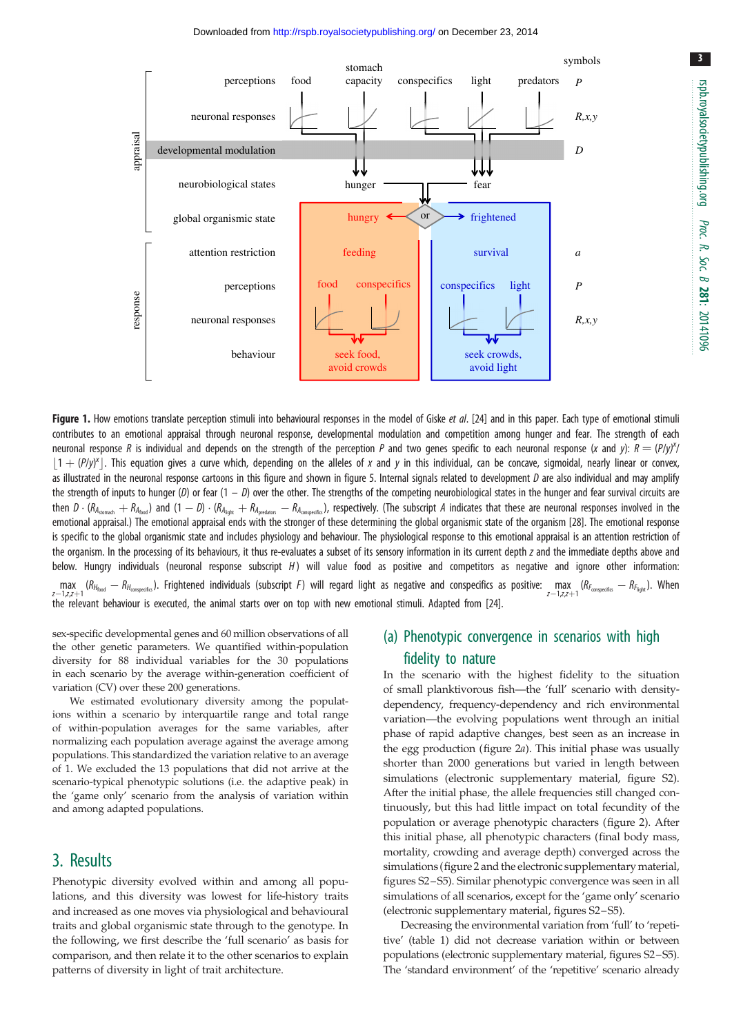Downloaded from<http://rspb.royalsocietypublishing.org/>on December 23, 2014

<span id="page-2-0"></span>

Figure 1. How emotions translate perception stimuli into behavioural responses in the model of Giske et al. [\[24\]](#page-7-0) and in this paper. Each type of emotional stimuli contributes to an emotional appraisal through neuronal response, developmental modulation and competition among hunger and fear. The strength of each neuronal response R is individual and depends on the strength of the perception P and two genes specific to each neuronal response (x and y):  $R = (P/y)^{x}$  $[1 + (P/y)^x]$ . This equation gives a curve which, depending on the alleles of x and y in this individual, can be concave, sigmoidal, nearly linear or convex, as illustrated in the neuronal response cartoons in this figure and shown in [figure 5](#page-5-0). Internal signals related to development  $D$  are also individual and may amplify the strength of inputs to hunger (D) or fear  $(1 - D)$  over the other. The strengths of the competing neurobiological states in the hunger and fear survival circuits are then  $D \cdot (R_{A_{\text{standard}}} + R_{A_{\text{food}}})$  and  $(1-D) \cdot (R_{A_{\text{light}}} + R_{A_{\text{predators}}} - R_{A_{\text{conpredict}}}$ , respectively. (The subscript  $A$  indicates that these are neuronal responses involved in the emotional appraisal.) The emotional appraisal ends with the stronger of these determining the global organismic state of the organism [\[28\]](#page-7-0). The emotional response is specific to the global organismic state and includes physiology and behaviour. The physiological response to this emotional appraisal is an attention restriction of the organism. In the processing of its behaviours, it thus re-evaluates a subset of its sensory information in its current depth z and the immediate depths above and below. Hungry individuals (neuronal response subscript  $H$ ) will value food as positive and competitors as negative and ignore other information: max ( $R_{H_{\text{food}}} - R_{H_{\text{conspedific}}}$ ). Frightened individuals (subscript F) will regard light as negative and conspecifics as positive:  $\max_{z-1,z,z+1} (R_{F_{\text{conspedific}}} - R_{F_{\text{light}}}).$  When the relevant behaviour is executed, the animal starts over on top with new emotional stimuli. Adapted from [[24](#page-7-0)].

sex-specific developmental genes and 60 million observations of all the other genetic parameters. We quantified within-population diversity for 88 individual variables for the 30 populations in each scenario by the average within-generation coefficient of variation (CV) over these 200 generations.

We estimated evolutionary diversity among the populations within a scenario by interquartile range and total range of within-population averages for the same variables, after normalizing each population average against the average among populations. This standardized the variation relative to an average of 1. We excluded the 13 populations that did not arrive at the scenario-typical phenotypic solutions (i.e. the adaptive peak) in the 'game only' scenario from the analysis of variation within and among adapted populations.

## 3. Results

Phenotypic diversity evolved within and among all populations, and this diversity was lowest for life-history traits and increased as one moves via physiological and behavioural traits and global organismic state through to the genotype. In the following, we first describe the 'full scenario' as basis for comparison, and then relate it to the other scenarios to explain patterns of diversity in light of trait architecture.

## (a) Phenotypic convergence in scenarios with high fidelity to nature

In the scenario with the highest fidelity to the situation of small planktivorous fish—the 'full' scenario with densitydependency, frequency-dependency and rich environmental variation—the evolving populations went through an initial phase of rapid adaptive changes, best seen as an increase in the egg production ([figure 2](#page-3-0)a). This initial phase was usually shorter than 2000 generations but varied in length between simulations (electronic supplementary material, figure S2). After the initial phase, the allele frequencies still changed continuously, but this had little impact on total fecundity of the population or average phenotypic characters [\(figure 2](#page-3-0)). After this initial phase, all phenotypic characters (final body mass, mortality, crowding and average depth) converged across the simulations ([figure 2](#page-3-0) and the electronic supplementary material, figures S2–S5). Similar phenotypic convergence was seen in all simulations of all scenarios, except for the 'game only' scenario (electronic supplementary material, figures S2–S5).

Decreasing the environmental variation from 'full' to 'repetitive' [\(table 1](#page-3-0)) did not decrease variation within or between populations (electronic supplementary material, figures S2–S5). The 'standard environment' of the 'repetitive' scenario already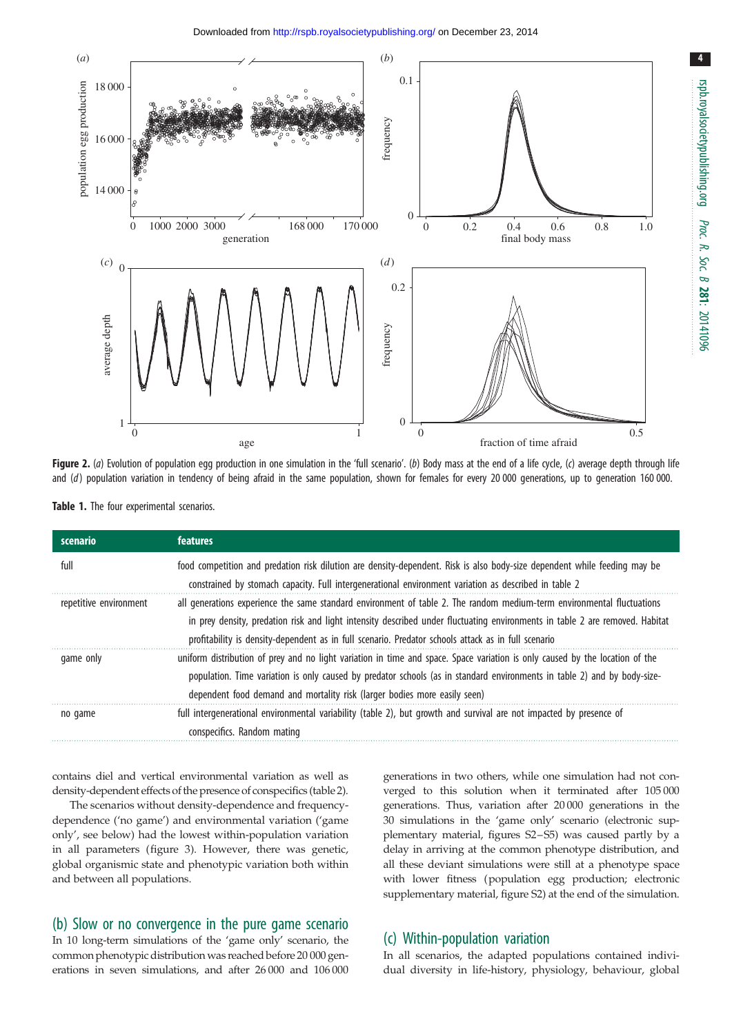<span id="page-3-0"></span>

Figure 2. (a) Evolution of population egg production in one simulation in the 'full scenario'. (b) Body mass at the end of a life cycle, (c) average depth through life and (d) population variation in tendency of being afraid in the same population, shown for females for every 20 000 generations, up to generation 160 000.

Table 1. The four experimental scenarios.

| scenario               | <b>features</b>                                                                                                                                                                                                                                                                                                                                               |
|------------------------|---------------------------------------------------------------------------------------------------------------------------------------------------------------------------------------------------------------------------------------------------------------------------------------------------------------------------------------------------------------|
| full                   | food competition and predation risk dilution are density-dependent. Risk is also body-size dependent while feeding may be<br>constrained by stomach capacity. Full intergenerational environment variation as described in table 2                                                                                                                            |
| repetitive environment | all generations experience the same standard environment of table 2. The random medium-term environmental fluctuations<br>in prey density, predation risk and light intensity described under fluctuating environments in table 2 are removed. Habitat<br>profitability is density-dependent as in full scenario. Predator schools attack as in full scenario |
| game only              | uniform distribution of prey and no light variation in time and space. Space variation is only caused by the location of the<br>population. Time variation is only caused by predator schools (as in standard environments in table 2) and by body-size-<br>dependent food demand and mortality risk (larger bodies more easily seen)                         |
| no game                | full intergenerational environmental variability (table 2), but growth and survival are not impacted by presence of<br>conspecifics. Random mating                                                                                                                                                                                                            |

contains diel and vertical environmental variation as well as density-dependent effects of the presence of conspecifics [\(table 2](#page-4-0)).

The scenarios without density-dependence and frequencydependence ('no game') and environmental variation ('game only', see below) had the lowest within-population variation in all parameters ([figure 3\)](#page-4-0). However, there was genetic, global organismic state and phenotypic variation both within and between all populations.

### (b) Slow or no convergence in the pure game scenario

In 10 long-term simulations of the 'game only' scenario, the common phenotypic distribution was reached before 20 000 generations in seven simulations, and after 26 000 and 106 000 generations in two others, while one simulation had not converged to this solution when it terminated after 105 000 generations. Thus, variation after 20 000 generations in the 30 simulations in the 'game only' scenario (electronic supplementary material, figures S2–S5) was caused partly by a delay in arriving at the common phenotype distribution, and all these deviant simulations were still at a phenotype space with lower fitness (population egg production; electronic supplementary material, figure S2) at the end of the simulation.

#### (c) Within-population variation

In all scenarios, the adapted populations contained individual diversity in life-history, physiology, behaviour, global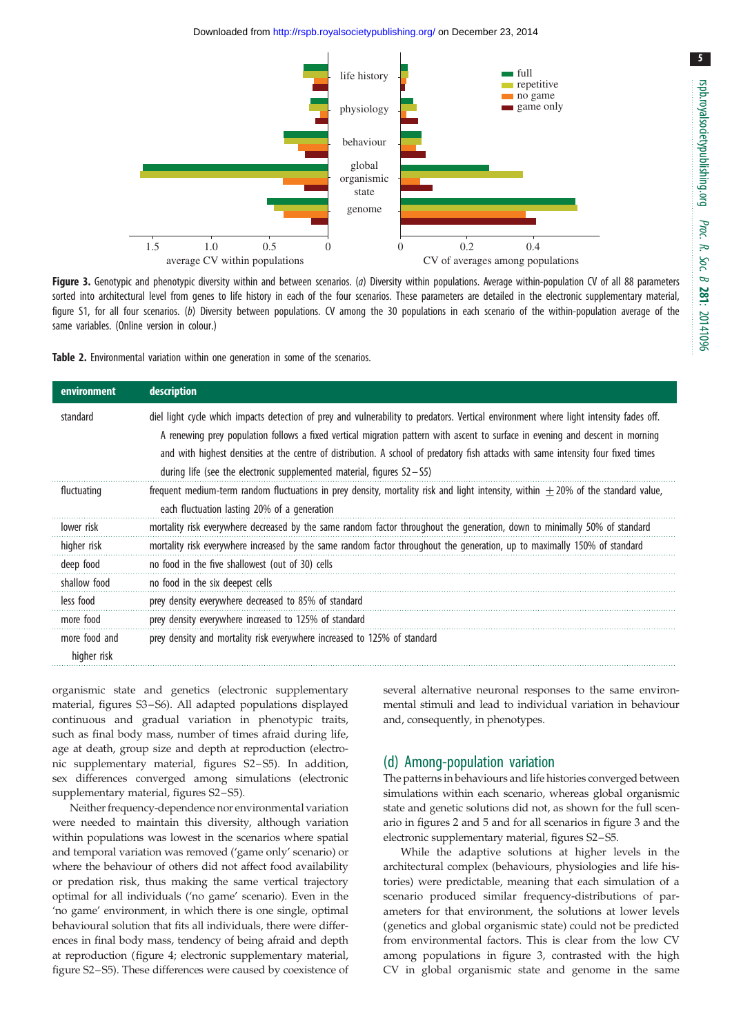<span id="page-4-0"></span>

Figure 3. Genotypic and phenotypic diversity within and between scenarios. (a) Diversity within populations. Average within-population CV of all 88 parameters sorted into architectural level from genes to life history in each of the four scenarios. These parameters are detailed in the electronic supplementary material, figure S1, for all four scenarios. (b) Diversity between populations. CV among the 30 populations in each scenario of the within-population average of the same variables. (Online version in colour.)



| environment                  | description                                                                                                                                                                                                                                                                                                                                                                                                                                                                                 |
|------------------------------|---------------------------------------------------------------------------------------------------------------------------------------------------------------------------------------------------------------------------------------------------------------------------------------------------------------------------------------------------------------------------------------------------------------------------------------------------------------------------------------------|
| standard                     | diel light cycle which impacts detection of prey and vulnerability to predators. Vertical environment where light intensity fades off.<br>A renewing prey population follows a fixed vertical migration pattern with ascent to surface in evening and descent in morning<br>and with highest densities at the centre of distribution. A school of predatory fish attacks with same intensity four fixed times<br>during life (see the electronic supplemented material, figures $S2 - S5$ ) |
| fluctuating                  | frequent medium-term random fluctuations in prey density, mortality risk and light intensity, within $\pm$ 20% of the standard value,<br>each fluctuation lasting 20% of a generation                                                                                                                                                                                                                                                                                                       |
| lower risk                   | mortality risk everywhere decreased by the same random factor throughout the generation, down to minimally 50% of standard                                                                                                                                                                                                                                                                                                                                                                  |
| higher risk                  | mortality risk everywhere increased by the same random factor throughout the generation, up to maximally 150% of standard                                                                                                                                                                                                                                                                                                                                                                   |
| deep food                    | no food in the five shallowest (out of 30) cells                                                                                                                                                                                                                                                                                                                                                                                                                                            |
| shallow food                 | no food in the six deepest cells                                                                                                                                                                                                                                                                                                                                                                                                                                                            |
| less food                    | prey density everywhere decreased to 85% of standard                                                                                                                                                                                                                                                                                                                                                                                                                                        |
| more food                    | prey density everywhere increased to 125% of standard                                                                                                                                                                                                                                                                                                                                                                                                                                       |
| more food and<br>higher risk | prey density and mortality risk everywhere increased to 125% of standard                                                                                                                                                                                                                                                                                                                                                                                                                    |

organismic state and genetics (electronic supplementary material, figures S3–S6). All adapted populations displayed continuous and gradual variation in phenotypic traits, such as final body mass, number of times afraid during life, age at death, group size and depth at reproduction (electronic supplementary material, figures S2–S5). In addition, sex differences converged among simulations (electronic supplementary material, figures S2–S5).

Neither frequency-dependence nor environmental variation were needed to maintain this diversity, although variation within populations was lowest in the scenarios where spatial and temporal variation was removed ('game only' scenario) or where the behaviour of others did not affect food availability or predation risk, thus making the same vertical trajectory optimal for all individuals ('no game' scenario). Even in the 'no game' environment, in which there is one single, optimal behavioural solution that fits all individuals, there were differences in final body mass, tendency of being afraid and depth at reproduction ([figure 4](#page-5-0); electronic supplementary material, figure S2–S5). These differences were caused by coexistence of several alternative neuronal responses to the same environmental stimuli and lead to individual variation in behaviour and, consequently, in phenotypes.

### (d) Among-population variation

The patterns in behaviours and life histories converged between simulations within each scenario, whereas global organismic state and genetic solutions did not, as shown for the full scenario in figures [2](#page-3-0) and [5](#page-5-0) and for all scenarios in figure 3 and the electronic supplementary material, figures S2–S5.

While the adaptive solutions at higher levels in the architectural complex (behaviours, physiologies and life histories) were predictable, meaning that each simulation of a scenario produced similar frequency-distributions of parameters for that environment, the solutions at lower levels (genetics and global organismic state) could not be predicted from environmental factors. This is clear from the low CV among populations in figure 3, contrasted with the high CV in global organismic state and genome in the same 5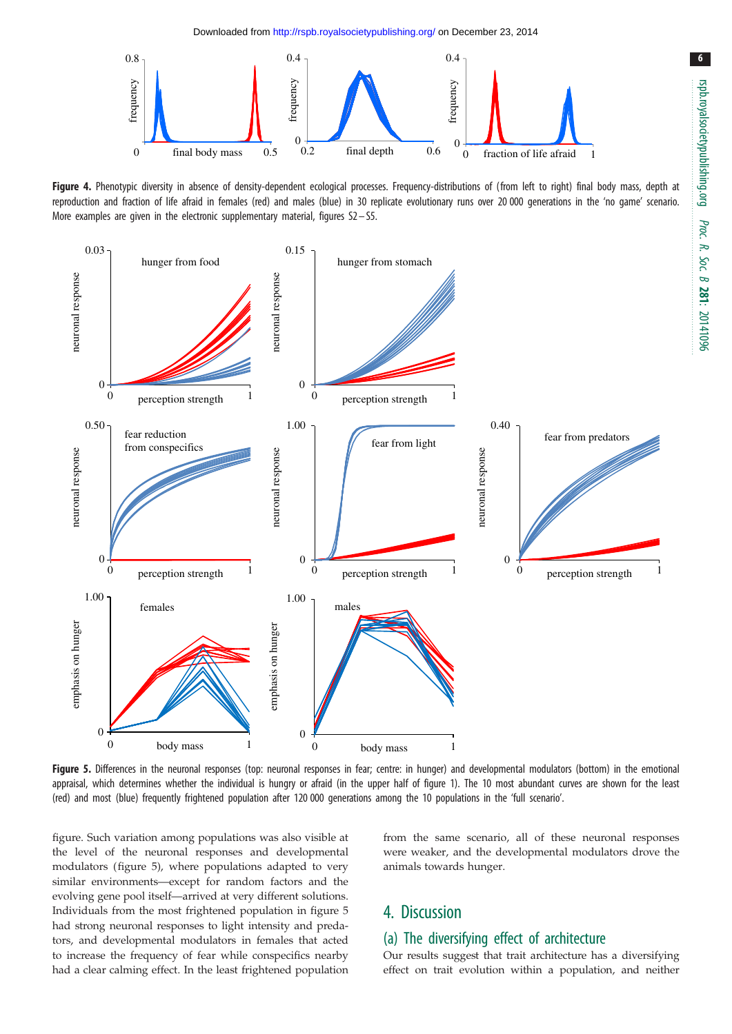Downloaded from<http://rspb.royalsocietypublishing.org/>on December 23, 2014

<span id="page-5-0"></span>

Figure 4. Phenotypic diversity in absence of density-dependent ecological processes. Frequency-distributions of (from left to right) final body mass, depth at reproduction and fraction of life afraid in females (red) and males (blue) in 30 replicate evolutionary runs over 20 000 generations in the 'no game' scenario. More examples are given in the electronic supplementary material, figures S2– S5.



Figure 5. Differences in the neuronal responses (top: neuronal responses in fear; centre: in hunger) and developmental modulators (bottom) in the emotional appraisal, which determines whether the individual is hungry or afraid (in the upper half of [figure 1\)](#page-2-0). The 10 most abundant curves are shown for the least (red) and most (blue) frequently frightened population after 120 000 generations among the 10 populations in the 'full scenario'.

figure. Such variation among populations was also visible at the level of the neuronal responses and developmental modulators (figure 5), where populations adapted to very similar environments—except for random factors and the evolving gene pool itself—arrived at very different solutions. Individuals from the most frightened population in figure 5 had strong neuronal responses to light intensity and predators, and developmental modulators in females that acted to increase the frequency of fear while conspecifics nearby had a clear calming effect. In the least frightened population from the same scenario, all of these neuronal responses were weaker, and the developmental modulators drove the animals towards hunger.

# 4. Discussion

## (a) The diversifying effect of architecture

Our results suggest that trait architecture has a diversifying effect on trait evolution within a population, and neither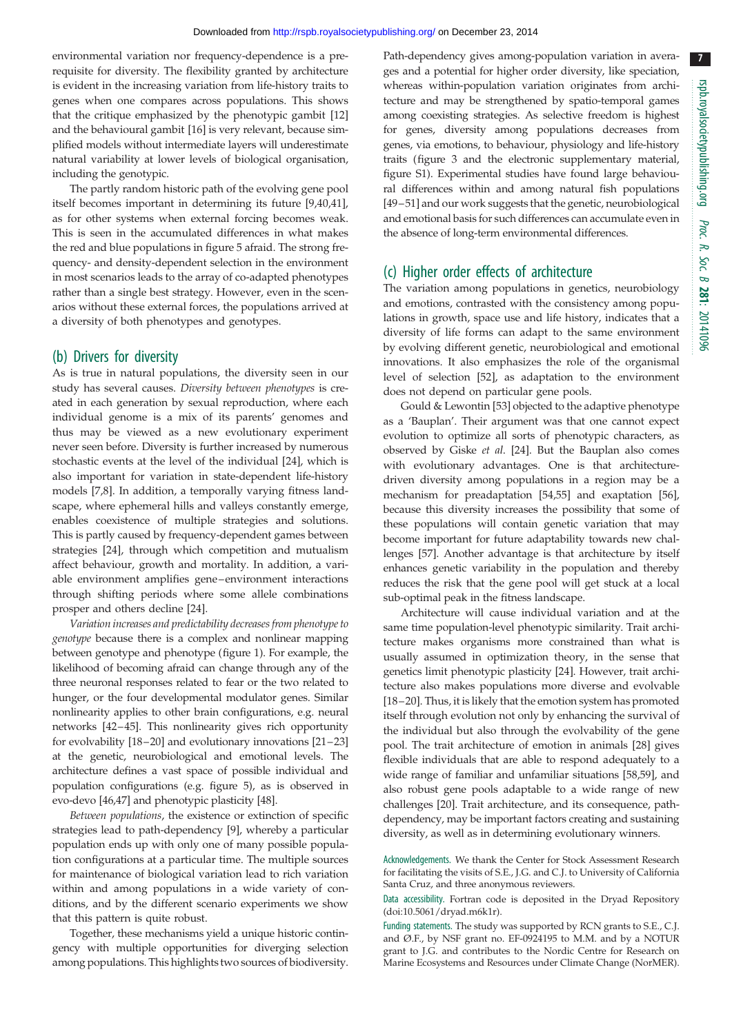7

environmental variation nor frequency-dependence is a prerequisite for diversity. The flexibility granted by architecture is evident in the increasing variation from life-history traits to genes when one compares across populations. This shows that the critique emphasized by the phenotypic gambit [[12\]](#page-7-0) and the behavioural gambit [[16\]](#page-7-0) is very relevant, because simplified models without intermediate layers will underestimate natural variability at lower levels of biological organisation, including the genotypic.

The partly random historic path of the evolving gene pool itself becomes important in determining its future [\[9,40,41](#page-7-0)], as for other systems when external forcing becomes weak. This is seen in the accumulated differences in what makes the red and blue populations in [figure 5](#page-5-0) afraid. The strong frequency- and density-dependent selection in the environment in most scenarios leads to the array of co-adapted phenotypes rather than a single best strategy. However, even in the scenarios without these external forces, the populations arrived at a diversity of both phenotypes and genotypes.

### (b) Drivers for diversity

As is true in natural populations, the diversity seen in our study has several causes. Diversity between phenotypes is created in each generation by sexual reproduction, where each individual genome is a mix of its parents' genomes and thus may be viewed as a new evolutionary experiment never seen before. Diversity is further increased by numerous stochastic events at the level of the individual [\[24](#page-7-0)], which is also important for variation in state-dependent life-history models [\[7,8](#page-7-0)]. In addition, a temporally varying fitness landscape, where ephemeral hills and valleys constantly emerge, enables coexistence of multiple strategies and solutions. This is partly caused by frequency-dependent games between strategies [\[24](#page-7-0)], through which competition and mutualism affect behaviour, growth and mortality. In addition, a variable environment amplifies gene –environment interactions through shifting periods where some allele combinations prosper and others decline [[24\]](#page-7-0).

Variation increases and predictability decreases from phenotype to genotype because there is a complex and nonlinear mapping between genotype and phenotype ([figure 1](#page-2-0)). For example, the likelihood of becoming afraid can change through any of the three neuronal responses related to fear or the two related to hunger, or the four developmental modulator genes. Similar nonlinearity applies to other brain configurations, e.g. neural networks [\[42](#page-7-0)–[45\]](#page-7-0). This nonlinearity gives rich opportunity for evolvability [\[18](#page-7-0)–[20\]](#page-7-0) and evolutionary innovations [[21](#page-7-0)–[23\]](#page-7-0) at the genetic, neurobiological and emotional levels. The architecture defines a vast space of possible individual and population configurations (e.g. [figure 5](#page-5-0)), as is observed in evo-devo [\[46,47](#page-7-0)] and phenotypic plasticity [\[48\]](#page-7-0).

Between populations, the existence or extinction of specific strategies lead to path-dependency [\[9\]](#page-7-0), whereby a particular population ends up with only one of many possible population configurations at a particular time. The multiple sources for maintenance of biological variation lead to rich variation within and among populations in a wide variety of conditions, and by the different scenario experiments we show that this pattern is quite robust.

Together, these mechanisms yield a unique historic contingency with multiple opportunities for diverging selection among populations. This highlights two sources of biodiversity.

Path-dependency gives among-population variation in averages and a potential for higher order diversity, like speciation, whereas within-population variation originates from architecture and may be strengthened by spatio-temporal games among coexisting strategies. As selective freedom is highest for genes, diversity among populations decreases from genes, via emotions, to behaviour, physiology and life-history traits [\(figure 3](#page-4-0) and the electronic supplementary material, figure S1). Experimental studies have found large behavioural differences within and among natural fish populations [[49](#page-7-0)–[51](#page-7-0)] and our work suggests that the genetic, neurobiological and emotional basis for such differences can accumulate even in the absence of long-term environmental differences.

## (c) Higher order effects of architecture

The variation among populations in genetics, neurobiology and emotions, contrasted with the consistency among populations in growth, space use and life history, indicates that a diversity of life forms can adapt to the same environment by evolving different genetic, neurobiological and emotional innovations. It also emphasizes the role of the organismal level of selection [[52\]](#page-8-0), as adaptation to the environment does not depend on particular gene pools.

Gould & Lewontin [[53](#page-8-0)] objected to the adaptive phenotype as a 'Bauplan'. Their argument was that one cannot expect evolution to optimize all sorts of phenotypic characters, as observed by Giske et al. [[24\]](#page-7-0). But the Bauplan also comes with evolutionary advantages. One is that architecturedriven diversity among populations in a region may be a mechanism for preadaptation [\[54,55](#page-8-0)] and exaptation [[56\]](#page-8-0), because this diversity increases the possibility that some of these populations will contain genetic variation that may become important for future adaptability towards new challenges [\[57](#page-8-0)]. Another advantage is that architecture by itself enhances genetic variability in the population and thereby reduces the risk that the gene pool will get stuck at a local sub-optimal peak in the fitness landscape.

Architecture will cause individual variation and at the same time population-level phenotypic similarity. Trait architecture makes organisms more constrained than what is usually assumed in optimization theory, in the sense that genetics limit phenotypic plasticity [\[24](#page-7-0)]. However, trait architecture also makes populations more diverse and evolvable [[18](#page-7-0)–[20\]](#page-7-0). Thus, it is likely that the emotion system has promoted itself through evolution not only by enhancing the survival of the individual but also through the evolvability of the gene pool. The trait architecture of emotion in animals [\[28](#page-7-0)] gives flexible individuals that are able to respond adequately to a wide range of familiar and unfamiliar situations [\[58](#page-8-0),[59\]](#page-8-0), and also robust gene pools adaptable to a wide range of new challenges [\[20](#page-7-0)]. Trait architecture, and its consequence, pathdependency, may be important factors creating and sustaining diversity, as well as in determining evolutionary winners.

Acknowledgements. We thank the Center for Stock Assessment Research for facilitating the visits of S.E., J.G. and C.J. to University of California Santa Cruz, and three anonymous reviewers.

Data accessibility. Fortran code is deposited in the Dryad Repository [\(doi:10.5061/dryad.m6k1r\)](http://dx.doi.org/10.5061/dryad.m6k1r).

Funding statements. The study was supported by RCN grants to S.E., C.J. and Ø.F., by NSF grant no. EF-0924195 to M.M. and by a NOTUR grant to J.G. and contributes to the Nordic Centre for Research on Marine Ecosystems and Resources under Climate Change (NorMER).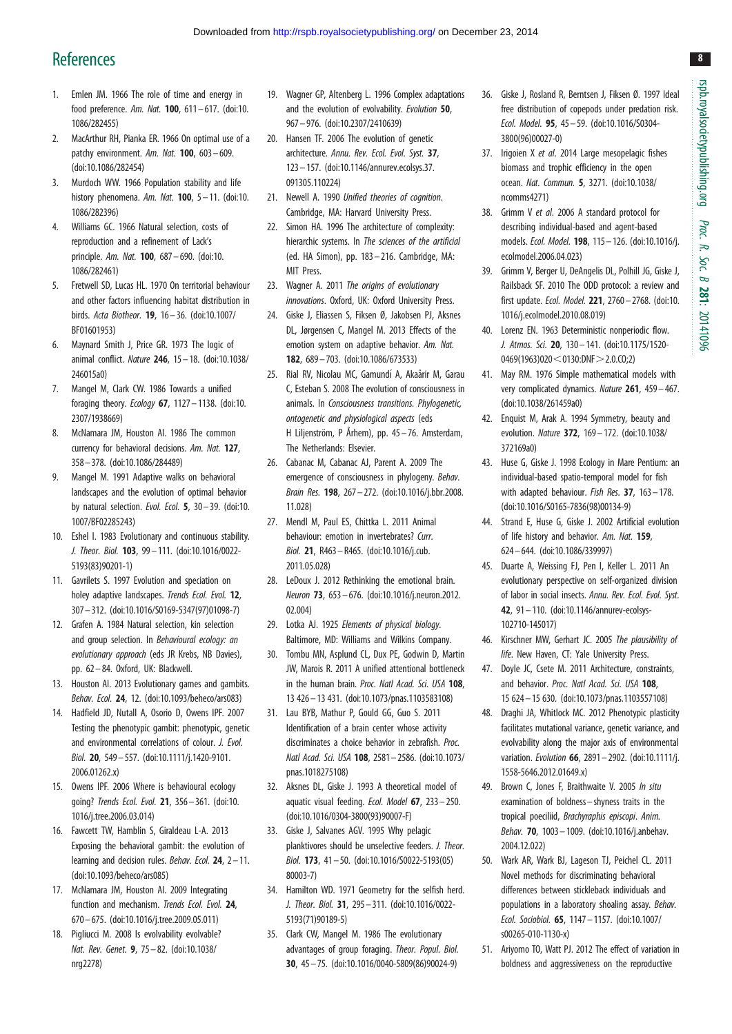# <span id="page-7-0"></span>**References**

- 1. Emlen JM. 1966 The role of time and energy in food preference. Am. Nat. 100, 611– 617. ([doi:10.](http://dx.doi.org/10.1086/282455) [1086/282455](http://dx.doi.org/10.1086/282455))
- 2. MacArthur RH, Pianka ER. 1966 On optimal use of a patchy environment. Am. Nat.  $100$ ,  $603 - 609$ . [\(doi:10.1086/282454](http://dx.doi.org/10.1086/282454))
- 3. Murdoch WW. 1966 Population stability and life history phenomena. Am. Nat.  $100$ ,  $5 - 11$ . ([doi:10.](http://dx.doi.org/10.1086/282396) [1086/282396](http://dx.doi.org/10.1086/282396))
- 4. Williams GC. 1966 Natural selection, costs of reproduction and a refinement of Lack's principle. Am. Nat. 100, 687 – 690. [\(doi:10.](http://dx.doi.org/10.1086/282461) [1086/282461](http://dx.doi.org/10.1086/282461))
- 5. Fretwell SD, Lucas HL. 1970 On territorial behaviour and other factors influencing habitat distribution in birds. Acta Biotheor. 19, 16 – 36. [\(doi:10.1007/](http://dx.doi.org/10.1007/BF01601953) [BF01601953\)](http://dx.doi.org/10.1007/BF01601953)
- 6. Maynard Smith J, Price GR. 1973 The logic of animal conflict. Nature 246, 15 – 18. ([doi:10.1038/](http://dx.doi.org/10.1038/246015a0) [246015a0\)](http://dx.doi.org/10.1038/246015a0)
- 7. Mangel M, Clark CW. 1986 Towards a unified foraging theory. Ecology  $67$ , 1127 - 1138. ([doi:10.](http://dx.doi.org/10.2307/1938669) [2307/1938669\)](http://dx.doi.org/10.2307/1938669)
- 8. McNamara JM, Houston AI. 1986 The common currency for behavioral decisions. Am. Nat. 127, 358– 378. ([doi:10.1086/284489](http://dx.doi.org/10.1086/284489))
- 9. Mangel M. 1991 Adaptive walks on behavioral landscapes and the evolution of optimal behavior by natural selection. Evol. Ecol.  $5, 30-39$ . [\(doi:10.](http://dx.doi.org/10.1007/BF02285243) [1007/BF02285243\)](http://dx.doi.org/10.1007/BF02285243)
- 10. Eshel I. 1983 Evolutionary and continuous stability. J. Theor. Biol. 103, 99-111. ([doi:10.1016/0022-](http://dx.doi.org/10.1016/0022-5193(83)90201-1) [5193\(83\)90201-1\)](http://dx.doi.org/10.1016/0022-5193(83)90201-1)
- 11. Gavrilets S. 1997 Evolution and speciation on holey adaptive landscapes. Trends Ecol. Evol. 12, 307– 312. ([doi:10.1016/S0169-5347\(97\)01098-7\)](http://dx.doi.org/10.1016/S0169-5347(97)01098-7)
- 12. Grafen A. 1984 Natural selection, kin selection and group selection. In Behavioural ecology: an evolutionary approach (eds JR Krebs, NB Davies), pp. 62 – 84. Oxford, UK: Blackwell.
- 13. Houston AI. 2013 Evolutionary games and gambits. Behav. Ecol. 24, 12. [\(doi:10.1093/beheco/ars083\)](http://dx.doi.org/10.1093/beheco/ars083)
- 14. Hadfield JD, Nutall A, Osorio D, Owens IPF. 2007 Testing the phenotypic gambit: phenotypic, genetic and environmental correlations of colour. J. Evol. Biol. 20, 549– 557. ([doi:10.1111/j.1420-9101.](http://dx.doi.org/10.1111/j.1420-9101.2006.01262.x) [2006.01262.x\)](http://dx.doi.org/10.1111/j.1420-9101.2006.01262.x)
- 15. Owens IPF. 2006 Where is behavioural ecology going? Trends Ecol. Evol. 21, 356– 361. ([doi:10.](http://dx.doi.org/10.1016/j.tree.2006.03.014) [1016/j.tree.2006.03.014](http://dx.doi.org/10.1016/j.tree.2006.03.014))
- 16. Fawcett TW, Hamblin S, Giraldeau L-A. 2013 Exposing the behavioral gambit: the evolution of learning and decision rules. Behav. Ecol. 24, 2-11. [\(doi:10.1093/beheco/ars085\)](http://dx.doi.org/10.1093/beheco/ars085)
- 17. McNamara JM, Houston AI. 2009 Integrating function and mechanism. Trends Ecol. Evol. 24, 670– 675. ([doi:10.1016/j.tree.2009.05.011\)](http://dx.doi.org/10.1016/j.tree.2009.05.011)
- 18. Pigliucci M. 2008 Is evolvability evolvable? Nat. Rev. Genet. 9, 75 – 82. ([doi:10.1038/](http://dx.doi.org/10.1038/nrg2278) [nrg2278\)](http://dx.doi.org/10.1038/nrg2278)
- 19. Wagner GP, Altenberg L. 1996 Complex adaptations and the evolution of evolvability. Evolution 50, 967 – 976. [\(doi:10.2307/2410639\)](http://dx.doi.org/10.2307/2410639)
- 20. Hansen TF. 2006 The evolution of genetic architecture. Annu. Rev. Ecol. Evol. Syst. 37, 123 – 157. [\(doi:10.1146/annurev.ecolsys.37.](http://dx.doi.org/10.1146/annurev.ecolsys.37.091305.110224) [091305.110224](http://dx.doi.org/10.1146/annurev.ecolsys.37.091305.110224))
- 21. Newell A. 1990 Unified theories of coanition. Cambridge, MA: Harvard University Press.
- 22. Simon HA. 1996 The architecture of complexity: hierarchic systems. In The sciences of the artificial (ed. HA Simon), pp. 183 – 216. Cambridge, MA: MIT Press.
- 23. Wagner A. 2011 The origins of evolutionary innovations. Oxford, UK: Oxford University Press.
- 24. Giske J, Eliassen S, Fiksen Ø, Jakobsen PJ, Aksnes DL, Jørgensen C, Mangel M. 2013 Effects of the emotion system on adaptive behavior. Am. Nat. 182, 689 – 703. [\(doi:10.1086/673533](http://dx.doi.org/10.1086/673533))
- 25. Rial RV, Nicolau MC, Gamundí A, Akaârir M, Garau C, Esteban S. 2008 The evolution of consciousness in animals. In Consciousness transitions. Phylogenetic, ontogenetic and physiological aspects (eds H Liljenström, P Århem), pp.  $45 - 76$ . Amsterdam, The Netherlands: Elsevier.
- 26. Cabanac M, Cabanac AJ, Parent A. 2009 The emergence of consciousness in phylogeny. Behav. Brain Res. 198, 267 – 272. [\(doi:10.1016/j.bbr.2008.](http://dx.doi.org/10.1016/j.bbr.2008.11.028) [11.028](http://dx.doi.org/10.1016/j.bbr.2008.11.028))
- 27. Mendl M, Paul ES, Chittka L. 2011 Animal behaviour: emotion in invertebrates? Curr. Biol. 21, R463-R465. ([doi:10.1016/j.cub.](http://dx.doi.org/10.1016/j.cub.2011.05.028) [2011.05.028\)](http://dx.doi.org/10.1016/j.cub.2011.05.028)
- 28. LeDoux J. 2012 Rethinking the emotional brain. Neuron 73, 653 – 676. ([doi:10.1016/j.neuron.2012.](http://dx.doi.org/10.1016/j.neuron.2012.02.004) [02.004](http://dx.doi.org/10.1016/j.neuron.2012.02.004))
- 29. Lotka AJ. 1925 Elements of physical biology. Baltimore, MD: Williams and Wilkins Company.
- 30. Tombu MN, Asplund CL, Dux PE, Godwin D, Martin JW, Marois R. 2011 A unified attentional bottleneck in the human brain. Proc. Natl Acad. Sci. USA 108, 13 426– 13 431. [\(doi:10.1073/pnas.1103583108](http://dx.doi.org/10.1073/pnas.1103583108))
- 31. Lau BYB, Mathur P, Gould GG, Guo S. 2011 Identification of a brain center whose activity discriminates a choice behavior in zebrafish. Proc. Natl Acad. Sci. USA 108, 2581– 2586. [\(doi:10.1073/](http://dx.doi.org/10.1073/pnas.1018275108) [pnas.1018275108](http://dx.doi.org/10.1073/pnas.1018275108))
- 32. Aksnes DL, Giske J. 1993 A theoretical model of aquatic visual feeding. Ecol. Model 67, 233– 250. [\(doi:10.1016/0304-3800\(93\)90007-F\)](http://dx.doi.org/10.1016/0304-3800(93)90007-F)
- 33. Giske J, Salvanes AGV. 1995 Why pelagic planktivores should be unselective feeders. J. Theor. Biol. 173, 41 – 50. [\(doi:10.1016/S0022-5193\(05\)](http://dx.doi.org/10.1016/S0022-5193(05)80003-7) [80003-7\)](http://dx.doi.org/10.1016/S0022-5193(05)80003-7)
- 34. Hamilton WD. 1971 Geometry for the selfish herd. J. Theor. Biol. 31, 295– 311. ([doi:10.1016/0022-](http://dx.doi.org/10.1016/0022-5193(71)90189-5) [5193\(71\)90189-5](http://dx.doi.org/10.1016/0022-5193(71)90189-5))
- 35. Clark CW, Mangel M. 1986 The evolutionary advantages of group foraging. Theor. Popul. Biol. 30, 45 – 75. ([doi:10.1016/0040-5809\(86\)90024-9\)](http://dx.doi.org/10.1016/0040-5809(86)90024-9)
- 36. Giske J, Rosland R, Berntsen J, Fiksen Ø. 1997 Ideal free distribution of copepods under predation risk. Ecol. Model. 95, 45– 59. ([doi:10.1016/S0304-](http://dx.doi.org/10.1016/S0304-3800(96)00027-0) [3800\(96\)00027-0](http://dx.doi.org/10.1016/S0304-3800(96)00027-0))
- 37. Irigoien X et al. 2014 Large mesopelagic fishes biomass and trophic efficiency in the open ocean. Nat. Commun. 5, 3271. ([doi:10.1038/](http://dx.doi.org/10.1038/ncomms4271) [ncomms4271](http://dx.doi.org/10.1038/ncomms4271))
- 38. Grimm V et al. 2006 A standard protocol for describing individual-based and agent-based models. Ecol. Model. 198, 115– 126. ([doi:10.1016/j.](http://dx.doi.org/10.1016/j.ecolmodel.2006.04.023) [ecolmodel.2006.04.023](http://dx.doi.org/10.1016/j.ecolmodel.2006.04.023))
- 39. Grimm V, Berger U, DeAngelis DL, Polhill JG, Giske J, Railsback SF. 2010 The ODD protocol: a review and first update. Ecol. Model. 221, 2760 – 2768. [\(doi:10.](http://dx.doi.org/10.1016/j.ecolmodel.2010.08.019) [1016/j.ecolmodel.2010.08.019\)](http://dx.doi.org/10.1016/j.ecolmodel.2010.08.019)
- 40. Lorenz EN. 1963 Deterministic nonperiodic flow. J. Atmos. Sci. 20, 130– 141. ([doi:10.1175/1520-](http://dx.doi.org/10.1175/1520-0469(1963)020%3C0130:DNF%3E2.0.CO;2)  $0469(1963)020 < 0130$  $0469(1963)020 < 0130$ :DNF $>$ 2.0.CO:2)
- 41. May RM. 1976 Simple mathematical models with very complicated dynamics. Nature 261, 459 – 467. ([doi:10.1038/261459a0](http://dx.doi.org/10.1038/261459a0))
- 42. Enquist M, Arak A. 1994 Symmetry, beauty and evolution. Nature 372, 169– 172. [\(doi:10.1038/](http://dx.doi.org/10.1038/372169a0) [372169a0](http://dx.doi.org/10.1038/372169a0))
- 43. Huse G, Giske J. 1998 Ecology in Mare Pentium: an individual-based spatio-temporal model for fish with adapted behaviour. Fish Res. 37, 163-178. ([doi:10.1016/S0165-7836\(98\)00134-9](http://dx.doi.org/10.1016/S0165-7836(98)00134-9))
- 44. Strand E, Huse G, Giske J. 2002 Artificial evolution of life history and behavior. Am. Nat. 159, 624– 644. [\(doi:10.1086/339997](http://dx.doi.org/10.1086/339997))
- 45. Duarte A, Weissing FJ, Pen I, Keller L. 2011 An evolutionary perspective on self-organized division of labor in social insects. Annu. Rev. Ecol. Evol. Syst. 42, 91 – 110. [\(doi:10.1146/annurev-ecolsys-](http://dx.doi.org/10.1146/annurev-ecolsys-102710-145017)[102710-145017\)](http://dx.doi.org/10.1146/annurev-ecolsys-102710-145017)
- 46. Kirschner MW, Gerhart JC. 2005 The plausibility of life. New Haven, CT: Yale University Press.
- 47. Doyle JC, Csete M. 2011 Architecture, constraints, and behavior. Proc. Natl Acad. Sci. USA 108, 15 624 – 15 630. [\(doi:10.1073/pnas.1103557108](http://dx.doi.org/10.1073/pnas.1103557108))
- 48. Draghi JA, Whitlock MC. 2012 Phenotypic plasticity facilitates mutational variance, genetic variance, and evolvability along the major axis of environmental variation. Evolution **66**, 2891-2902. ([doi:10.1111/j.](http://dx.doi.org/10.1111/j.1558-5646.2012.01649.x) [1558-5646.2012.01649.x\)](http://dx.doi.org/10.1111/j.1558-5646.2012.01649.x)
- 49. Brown C, Jones F, Braithwaite V. 2005 In situ examination of boldness - shyness traits in the tropical poeciliid, Brachyraphis episcopi. Anim. Behav. 70, 1003– 1009. [\(doi:10.1016/j.anbehav.](http://dx.doi.org/10.1016/j.anbehav.2004.12.022) [2004.12.022](http://dx.doi.org/10.1016/j.anbehav.2004.12.022))
- 50. Wark AR, Wark BJ, Lageson TJ, Peichel CL. 2011 Novel methods for discriminating behavioral differences between stickleback individuals and populations in a laboratory shoaling assay. Behav. Ecol. Sociobiol. 65, 1147– 1157. [\(doi:10.1007/](http://dx.doi.org/10.1007/s00265-010-1130-x) [s00265-010-1130-x](http://dx.doi.org/10.1007/s00265-010-1130-x))
- 51. Ariyomo TO, Watt PJ. 2012 The effect of variation in boldness and aggressiveness on the reproductive

8